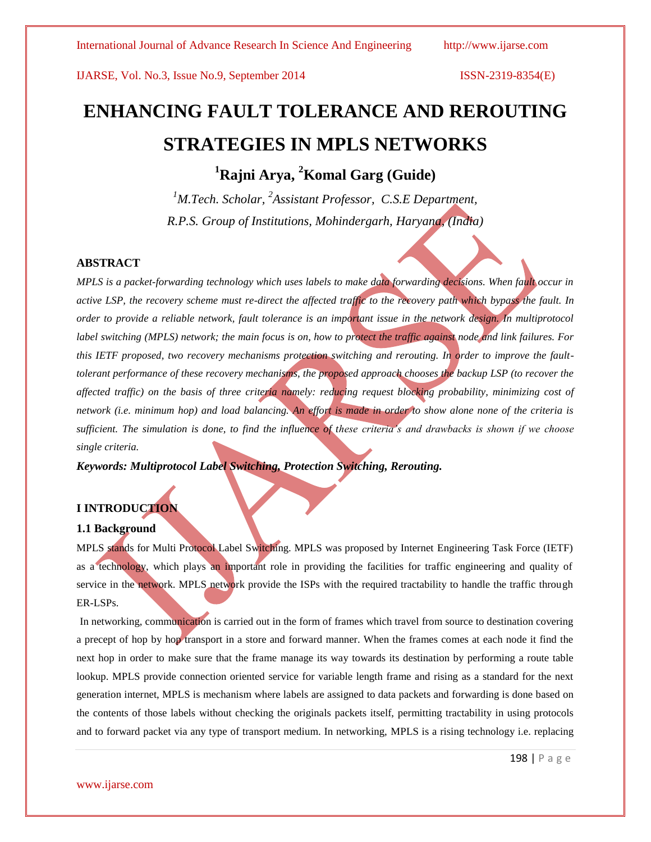# **ENHANCING FAULT TOLERANCE AND REROUTING STRATEGIES IN MPLS NETWORKS**

**<sup>1</sup>Rajni Arya, <sup>2</sup>Komal Garg (Guide)** 

<sup>1</sup>M.Tech. Scholar, <sup>2</sup>Assistant Professor, C.S.E Department, *R.P.S. Group of Institutions, Mohindergarh, Haryana, (India)*

# **ABSTRACT**

*MPLS is a packet-forwarding technology which uses labels to make data forwarding decisions. When fault occur in active LSP, the recovery scheme must re-direct the affected traffic to the recovery path which bypass the fault. In order to provide a reliable network, fault tolerance is an important issue in the network design. In multiprotocol label switching (MPLS) network; the main focus is on, how to protect the traffic against node and link failures. For this IETF proposed, two recovery mechanisms protection switching and rerouting. In order to improve the faulttolerant performance of these recovery mechanisms, the proposed approach chooses the backup LSP (to recover the affected traffic) on the basis of three criteria namely: reducing request blocking probability, minimizing cost of network (i.e. minimum hop) and load balancing. An effort is made in order to show alone none of the criteria is sufficient. The simulation is done, to find the influence of these criteria's and drawbacks is shown if we choose single criteria.*

*Keywords: Multiprotocol Label Switching, Protection Switching, Rerouting.*

# **I INTRODUCTION**

# **1.1 Background**

MPLS stands for Multi Protocol Label Switching. MPLS was proposed by Internet Engineering Task Force (IETF) as a technology, which plays an important role in providing the facilities for traffic engineering and quality of service in the network. MPLS network provide the ISPs with the required tractability to handle the traffic through ER-LSPs.

In networking, communication is carried out in the form of frames which travel from source to destination covering a precept of hop by hop transport in a store and forward manner. When the frames comes at each node it find the next hop in order to make sure that the frame manage its way towards its destination by performing a route table lookup. MPLS provide connection oriented service for variable length frame and rising as a standard for the next generation internet, MPLS is mechanism where labels are assigned to data packets and forwarding is done based on the contents of those labels without checking the originals packets itself, permitting tractability in using protocols and to forward packet via any type of transport medium. In networking, MPLS is a rising technology i.e. replacing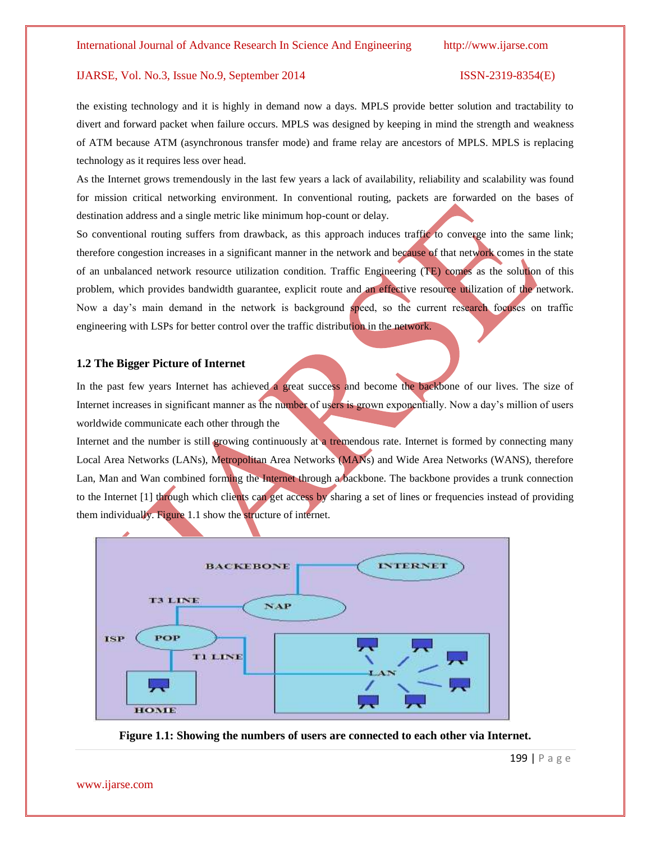the existing technology and it is highly in demand now a days. MPLS provide better solution and tractability to divert and forward packet when failure occurs. MPLS was designed by keeping in mind the strength and weakness of ATM because ATM (asynchronous transfer mode) and frame relay are ancestors of MPLS. MPLS is replacing technology as it requires less over head.

As the Internet grows tremendously in the last few years a lack of availability, reliability and scalability was found for mission critical networking environment. In conventional routing, packets are forwarded on the bases of destination address and a single metric like minimum hop-count or delay.

So conventional routing suffers from drawback, as this approach induces traffic to converge into the same link; therefore congestion increases in a significant manner in the network and because of that network comes in the state of an unbalanced network resource utilization condition. Traffic Engineering (TE) comes as the solution of this problem, which provides bandwidth guarantee, explicit route and an effective resource utilization of the network. Now a day's main demand in the network is background speed, so the current research focuses on traffic engineering with LSPs for better control over the traffic distribution in the network.

# **1.2 The Bigger Picture of Internet**

In the past few years Internet has achieved a great success and become the backbone of our lives. The size of Internet increases in significant manner as the number of users is grown exponentially. Now a day's million of users worldwide communicate each other through the

Internet and the number is still growing continuously at a tremendous rate. Internet is formed by connecting many Local Area Networks (LANs), Metropolitan Area Networks (MANs) and Wide Area Networks (WANS), therefore Lan, Man and Wan combined forming the Internet through a backbone. The backbone provides a trunk connection to the Internet [1] through which clients can get access by sharing a set of lines or frequencies instead of providing them individually. Figure 1.1 show the structure of internet.



**Figure 1.1: Showing the numbers of users are connected to each other via Internet.**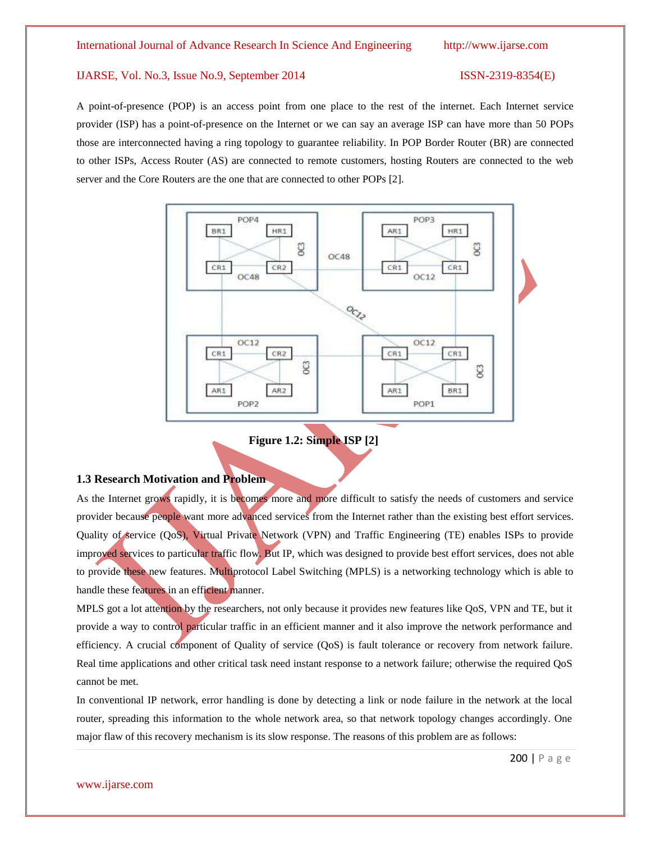A point-of-presence (POP) is an access point from one place to the rest of the internet. Each Internet service provider (ISP) has a point-of-presence on the Internet or we can say an average ISP can have more than 50 POPs those are interconnected having a ring topology to guarantee reliability. In POP Border Router (BR) are connected to other ISPs, Access Router (AS) are connected to remote customers, hosting Routers are connected to the web server and the Core Routers are the one that are connected to other POPs [2].





# **1.3 Research Motivation and Problem**

As the Internet grows rapidly, it is becomes more and more difficult to satisfy the needs of customers and service provider because people want more advanced services from the Internet rather than the existing best effort services. Quality of service (QoS), Virtual Private Network (VPN) and Traffic Engineering (TE) enables ISPs to provide improved services to particular traffic flow. But IP, which was designed to provide best effort services, does not able to provide these new features. Multiprotocol Label Switching (MPLS) is a networking technology which is able to handle these features in an efficient manner.

MPLS got a lot attention by the researchers, not only because it provides new features like QoS, VPN and TE, but it provide a way to control particular traffic in an efficient manner and it also improve the network performance and efficiency. A crucial component of Quality of service (QoS) is fault tolerance or recovery from network failure. Real time applications and other critical task need instant response to a network failure; otherwise the required QoS cannot be met.

In conventional IP network, error handling is done by detecting a link or node failure in the network at the local router, spreading this information to the whole network area, so that network topology changes accordingly. One major flaw of this recovery mechanism is its slow response. The reasons of this problem are as follows: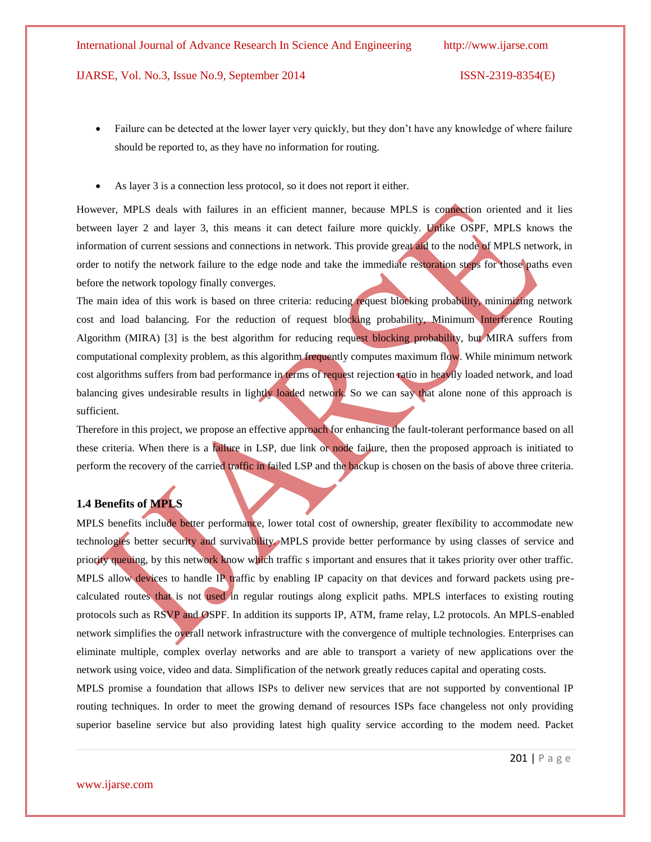- Failure can be detected at the lower layer very quickly, but they don't have any knowledge of where failure should be reported to, as they have no information for routing.
- As layer 3 is a connection less protocol, so it does not report it either.

However, MPLS deals with failures in an efficient manner, because MPLS is connection oriented and it lies between layer 2 and layer 3, this means it can detect failure more quickly. Unlike OSPF, MPLS knows the information of current sessions and connections in network. This provide great aid to the node of MPLS network, in order to notify the network failure to the edge node and take the immediate restoration steps for those paths even before the network topology finally converges.

The main idea of this work is based on three criteria: reducing request blocking probability, minimizing network cost and load balancing. For the reduction of request blocking probability, Minimum Interference Routing Algorithm (MIRA) [3] is the best algorithm for reducing request blocking probability, but MIRA suffers from computational complexity problem, as this algorithm frequently computes maximum flow. While minimum network cost algorithms suffers from bad performance in terms of request rejection ratio in heavily loaded network, and load balancing gives undesirable results in lightly loaded network. So we can say that alone none of this approach is sufficient.

Therefore in this project, we propose an effective approach for enhancing the fault-tolerant performance based on all these criteria. When there is a failure in LSP, due link or node failure, then the proposed approach is initiated to perform the recovery of the carried traffic in failed LSP and the backup is chosen on the basis of above three criteria.

# **1.4 Benefits of MPLS**

MPLS benefits include better performance, lower total cost of ownership, greater flexibility to accommodate new technologies better security and survivability. MPLS provide better performance by using classes of service and priority queuing, by this network know which traffic s important and ensures that it takes priority over other traffic. MPLS allow devices to handle IP traffic by enabling IP capacity on that devices and forward packets using precalculated routes that is not used in regular routings along explicit paths. MPLS interfaces to existing routing protocols such as RSVP and OSPF. In addition its supports IP, ATM, frame relay, L2 protocols. An MPLS-enabled network simplifies the overall network infrastructure with the convergence of multiple technologies. Enterprises can eliminate multiple, complex overlay networks and are able to transport a variety of new applications over the network using voice, video and data. Simplification of the network greatly reduces capital and operating costs.

MPLS promise a foundation that allows ISPs to deliver new services that are not supported by conventional IP routing techniques. In order to meet the growing demand of resources ISPs face changeless not only providing superior baseline service but also providing latest high quality service according to the modem need. Packet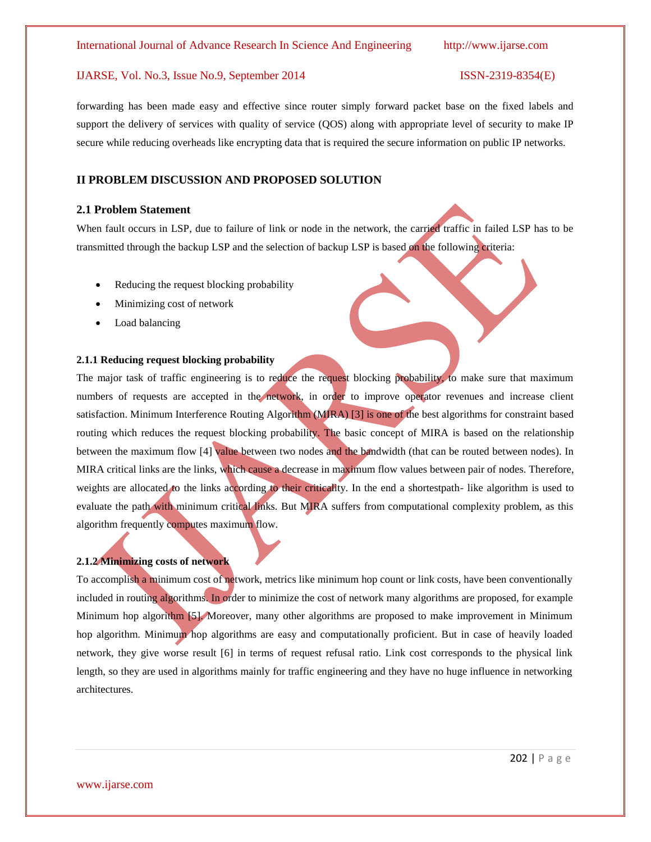forwarding has been made easy and effective since router simply forward packet base on the fixed labels and support the delivery of services with quality of service (QOS) along with appropriate level of security to make IP secure while reducing overheads like encrypting data that is required the secure information on public IP networks.

# **II PROBLEM DISCUSSION AND PROPOSED SOLUTION**

# **2.1 Problem Statement**

When fault occurs in LSP, due to failure of link or node in the network, the carried traffic in failed LSP has to be transmitted through the backup LSP and the selection of backup LSP is based on the following criteria:

- Reducing the request blocking probability
- Minimizing cost of network
- Load balancing

### **2.1.1 Reducing request blocking probability**

The major task of traffic engineering is to reduce the request blocking probability, to make sure that maximum numbers of requests are accepted in the network, in order to improve operator revenues and increase client satisfaction. Minimum Interference Routing Algorithm (MIRA) [3] is one of the best algorithms for constraint based routing which reduces the request blocking probability. The basic concept of MIRA is based on the relationship between the maximum flow [4] value between two nodes and the bandwidth (that can be routed between nodes). In MIRA critical links are the links, which cause a decrease in maximum flow values between pair of nodes. Therefore, weights are allocated to the links according to their criticality. In the end a shortestpath- like algorithm is used to evaluate the path with minimum critical links. But MIRA suffers from computational complexity problem, as this algorithm frequently computes maximum flow.

# **2.1.2 Minimizing costs of network**

To accomplish a minimum cost of network, metrics like minimum hop count or link costs, have been conventionally included in routing algorithms. In order to minimize the cost of network many algorithms are proposed, for example Minimum hop algorithm [5]. Moreover, many other algorithms are proposed to make improvement in Minimum hop algorithm. Minimum hop algorithms are easy and computationally proficient. But in case of heavily loaded network, they give worse result [6] in terms of request refusal ratio. Link cost corresponds to the physical link length, so they are used in algorithms mainly for traffic engineering and they have no huge influence in networking architectures.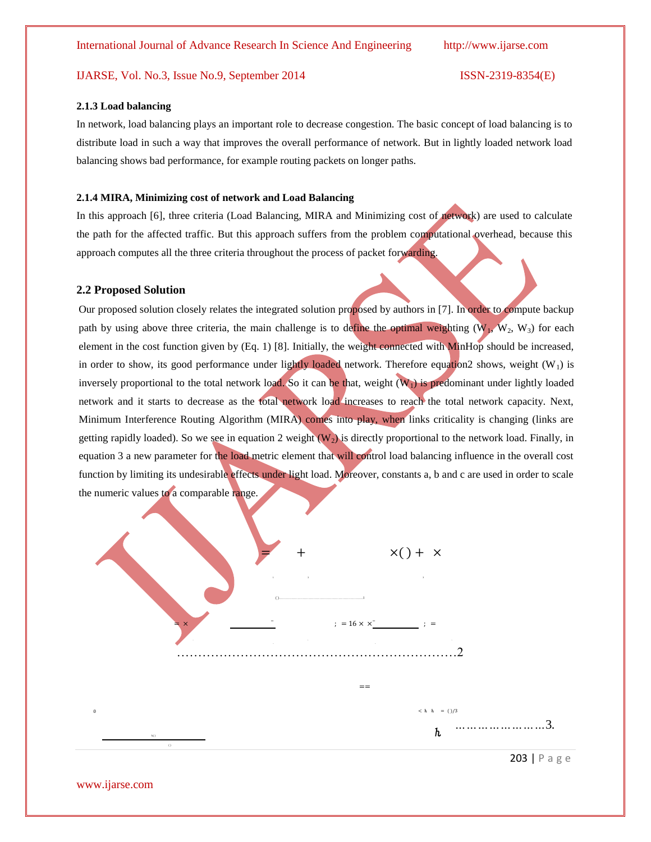### **2.1.3 Load balancing**

In network, load balancing plays an important role to decrease congestion. The basic concept of load balancing is to distribute load in such a way that improves the overall performance of network. But in lightly loaded network load balancing shows bad performance, for example routing packets on longer paths.

# **2.1.4 MIRA, Minimizing cost of network and Load Balancing**

In this approach [6], three criteria (Load Balancing, MIRA and Minimizing cost of network) are used to calculate the path for the affected traffic. But this approach suffers from the problem computational overhead, because this approach computes all the three criteria throughout the process of packet forwarding.

### **2.2 Proposed Solution**

Our proposed solution closely relates the integrated solution proposed by authors in [7]. In order to compute backup path by using above three criteria, the main challenge is to define the optimal weighting ( $W_1$ ,  $W_2$ ,  $W_3$ ) for each element in the cost function given by (Eq. 1) [8]. Initially, the weight connected with MinHop should be increased, in order to show, its good performance under lightly loaded network. Therefore equation2 shows, weight  $(W_1)$  is inversely proportional to the total network load. So it can be that, weight  $(W_1)$  is predominant under lightly loaded network and it starts to decrease as the total network load increases to reach the total network capacity. Next, Minimum Interference Routing Algorithm (MIRA) comes into play, when links criticality is changing (links are getting rapidly loaded). So we see in equation 2 weight  $(W_2)$  is directly proportional to the network load. Finally, in equation 3 a new parameter for the load metric element that will control load balancing influence in the overall cost function by limiting its undesirable effects under light load. Moreover, constants a, b and c are used in order to scale the numeric values to a comparable range.



[www.ijarse.com](http://www.ijarse.com/)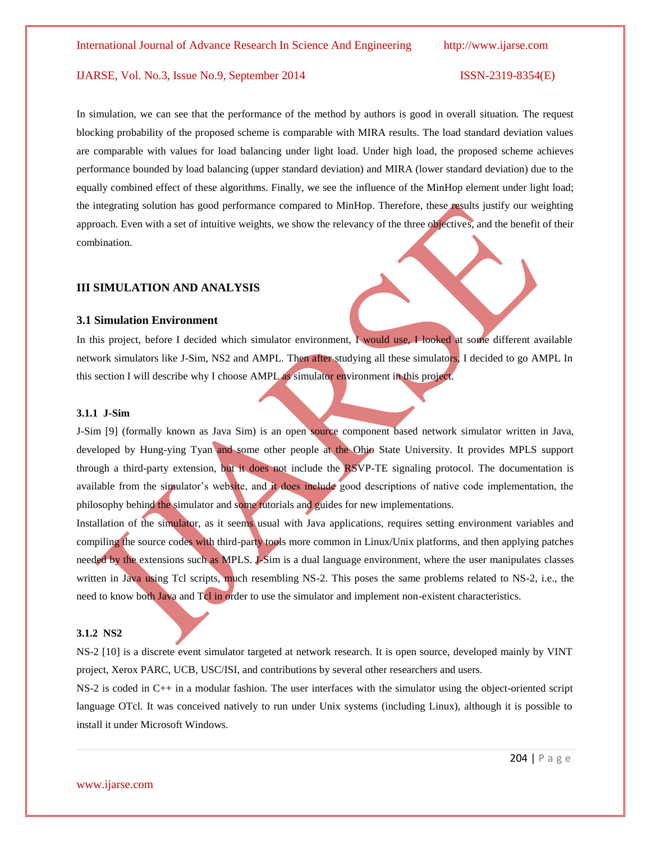In simulation, we can see that the performance of the method by authors is good in overall situation. The request blocking probability of the proposed scheme is comparable with MIRA results. The load standard deviation values are comparable with values for load balancing under light load. Under high load, the proposed scheme achieves performance bounded by load balancing (upper standard deviation) and MIRA (lower standard deviation) due to the equally combined effect of these algorithms. Finally, we see the influence of the MinHop element under light load; the integrating solution has good performance compared to MinHop. Therefore, these results justify our weighting approach. Even with a set of intuitive weights, we show the relevancy of the three objectives, and the benefit of their combination.

# **III SIMULATION AND ANALYSIS**

# **3.1 Simulation Environment**

In this project, before I decided which simulator environment, I would use, I looked at some different available network simulators like J-Sim, NS2 and AMPL. Then after studying all these simulators, I decided to go AMPL In this section I will describe why I choose AMPL as simulator environment in this project.

### **3.1.1 J-Sim**

J-Sim [9] (formally known as Java Sim) is an open source component based network simulator written in Java, developed by Hung-ying Tyan and some other people at the Ohio State University. It provides MPLS support through a third-party extension, but it does not include the RSVP-TE signaling protocol. The documentation is available from the simulator's website, and it does include good descriptions of native code implementation, the philosophy behind the simulator and some tutorials and guides for new implementations.

Installation of the simulator, as it seems usual with Java applications, requires setting environment variables and compiling the source codes with third-party tools more common in Linux/Unix platforms, and then applying patches needed by the extensions such as MPLS. J-Sim is a dual language environment, where the user manipulates classes written in Java using Tcl scripts, much resembling NS-2. This poses the same problems related to NS-2, i.e., the need to know both Java and Tcl in order to use the simulator and implement non-existent characteristics.

### **3.1.2 NS2**

NS-2 [10] is a discrete event simulator targeted at network research. It is open source, developed mainly by VINT project, Xerox PARC, UCB, USC/ISI, and contributions by several other researchers and users.

NS-2 is coded in C++ in a modular fashion. The user interfaces with the simulator using the object-oriented script language OTcl. It was conceived natively to run under Unix systems (including Linux), although it is possible to install it under Microsoft Windows.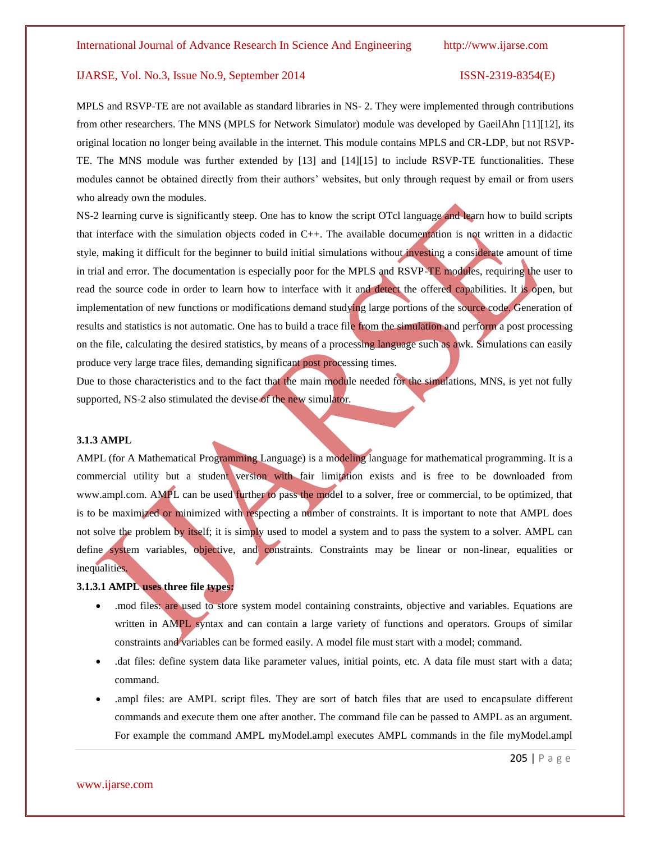MPLS and RSVP-TE are not available as standard libraries in NS- 2. They were implemented through contributions from other researchers. The MNS (MPLS for Network Simulator) module was developed by GaeilAhn [11][12], its original location no longer being available in the internet. This module contains MPLS and CR-LDP, but not RSVP-TE. The MNS module was further extended by [13] and [14][15] to include RSVP-TE functionalities. These modules cannot be obtained directly from their authors' websites, but only through request by email or from users who already own the modules.

NS-2 learning curve is significantly steep. One has to know the script OTcl language and learn how to build scripts that interface with the simulation objects coded in C++. The available documentation is not written in a didactic style, making it difficult for the beginner to build initial simulations without investing a considerate amount of time in trial and error. The documentation is especially poor for the MPLS and RSVP-TE modules, requiring the user to read the source code in order to learn how to interface with it and detect the offered capabilities. It is open, but implementation of new functions or modifications demand studying large portions of the source code. Generation of results and statistics is not automatic. One has to build a trace file from the simulation and perform a post processing on the file, calculating the desired statistics, by means of a processing language such as awk. Simulations can easily produce very large trace files, demanding significant post processing times.

Due to those characteristics and to the fact that the main module needed for the simulations, MNS, is yet not fully supported, NS-2 also stimulated the devise of the new simulator.

# **3.1.3 AMPL**

AMPL (for A Mathematical Programming Language) is a modeling language for mathematical programming. It is a commercial utility but a student version with fair limitation exists and is free to be downloaded from www.ampl.com. AMPL can be used further to pass the model to a solver, free or commercial, to be optimized, that is to be maximized or minimized with respecting a number of constraints. It is important to note that AMPL does not solve the problem by itself; it is simply used to model a system and to pass the system to a solver. AMPL can define system variables, objective, and constraints. Constraints may be linear or non-linear, equalities or inequalities.

# **3.1.3.1 AMPL uses three file types:**

- .mod files: are used to store system model containing constraints, objective and variables. Equations are written in AMPL syntax and can contain a large variety of functions and operators. Groups of similar constraints and variables can be formed easily. A model file must start with a model; command.
- .dat files: define system data like parameter values, initial points, etc. A data file must start with a data; command.
- .ampl files: are AMPL script files. They are sort of batch files that are used to encapsulate different commands and execute them one after another. The command file can be passed to AMPL as an argument. For example the command AMPL myModel.ampl executes AMPL commands in the file myModel.ampl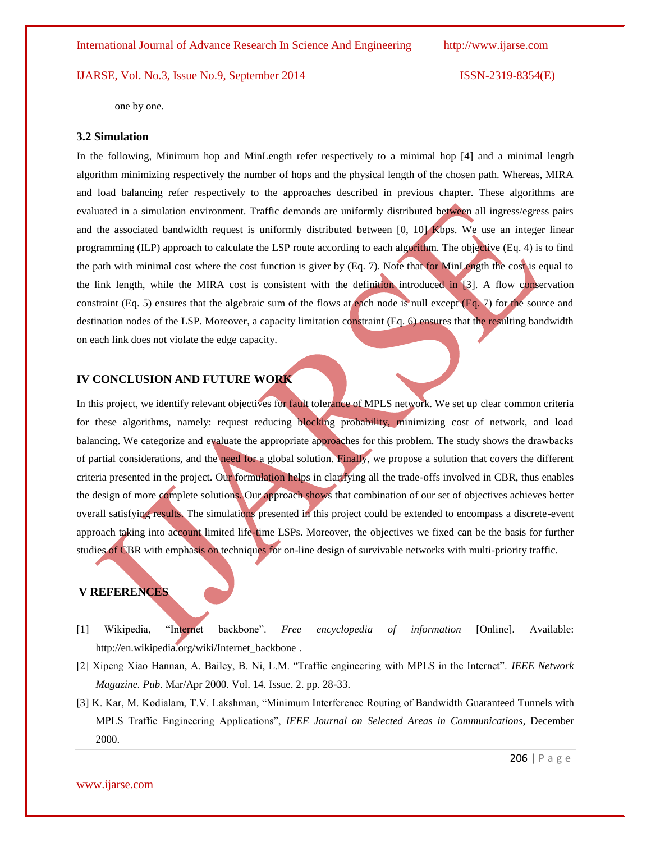one by one.

### **3.2 Simulation**

In the following, Minimum hop and MinLength refer respectively to a minimal hop [4] and a minimal length algorithm minimizing respectively the number of hops and the physical length of the chosen path. Whereas, MIRA and load balancing refer respectively to the approaches described in previous chapter. These algorithms are evaluated in a simulation environment. Traffic demands are uniformly distributed between all ingress/egress pairs and the associated bandwidth request is uniformly distributed between [0, 10] Kbps. We use an integer linear programming (ILP) approach to calculate the LSP route according to each algorithm. The objective (Eq. 4) is to find the path with minimal cost where the cost function is giver by (Eq. 7). Note that for MinLength the cost is equal to the link length, while the MIRA cost is consistent with the definition introduced in [3]. A flow conservation constraint (Eq. 5) ensures that the algebraic sum of the flows at each node is null except (Eq. 7) for the source and destination nodes of the LSP. Moreover, a capacity limitation constraint (Eq. 6) ensures that the resulting bandwidth on each link does not violate the edge capacity.

# **IV CONCLUSION AND FUTURE WORK**

In this project, we identify relevant objectives for fault tolerance of MPLS network. We set up clear common criteria for these algorithms, namely: request reducing blocking probability, minimizing cost of network, and load balancing. We categorize and evaluate the appropriate approaches for this problem. The study shows the drawbacks of partial considerations, and the need for a global solution. Finally, we propose a solution that covers the different criteria presented in the project. Our formulation helps in clarifying all the trade-offs involved in CBR, thus enables the design of more complete solutions. Our approach shows that combination of our set of objectives achieves better overall satisfying results. The simulations presented in this project could be extended to encompass a discrete-event approach taking into account limited life-time LSPs. Moreover, the objectives we fixed can be the basis for further studies of CBR with emphasis on techniques for on-line design of survivable networks with multi-priority traffic.

# **V REFERENCES**

- [1] Wikipedia, "Internet backbone". *Free encyclopedia of information* [Online]. Available: http://en.wikipedia.org/wiki/Internet\_backbone .
- [2] Xipeng Xiao Hannan, A. Bailey, B. Ni, L.M. "Traffic engineering with MPLS in the Internet". *IEEE Network Magazine. Pub*. Mar/Apr 2000. Vol. 14. Issue. 2. pp. 28-33.
- [3] K. Kar, M. Kodialam, T.V. Lakshman, "Minimum Interference Routing of Bandwidth Guaranteed Tunnels with MPLS Traffic Engineering Applications", *IEEE Journal on Selected Areas in Communications*, December 2000.